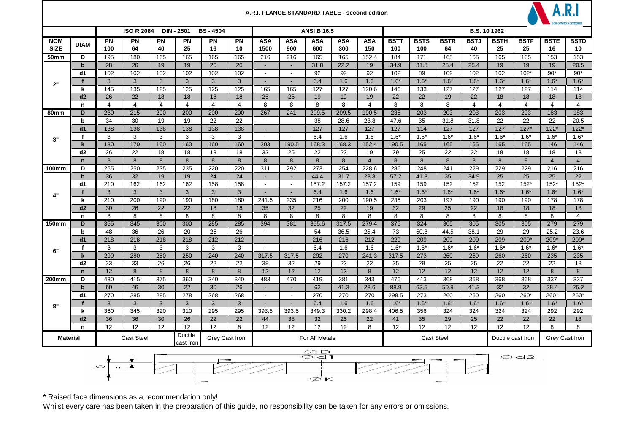|                  |                            |                   |                   |                |                             |                  |                | A.R.I. FLANGE STANDARD TABLE - second edition |                             |                    |            |                |             |             |             |                |                                     |                |                |                |  |
|------------------|----------------------------|-------------------|-------------------|----------------|-----------------------------|------------------|----------------|-----------------------------------------------|-----------------------------|--------------------|------------|----------------|-------------|-------------|-------------|----------------|-------------------------------------|----------------|----------------|----------------|--|
|                  |                            |                   | <b>ISO R 2084</b> |                | <b>DIN - 2501</b>           | <b>BS-4504</b>   |                |                                               |                             | <b>ANSI B 16.5</b> |            |                |             |             |             |                | <b>B.S. 10 1962</b>                 |                |                |                |  |
| <b>NOM</b>       | <b>DIAM</b>                | <b>PN</b>         | <b>PN</b>         | PN             | <b>PN</b>                   | PN               | <b>PN</b>      | <b>ASA</b>                                    | <b>ASA</b>                  | <b>ASA</b>         | <b>ASA</b> | <b>ASA</b>     | <b>BSTT</b> | <b>BSTS</b> | <b>BSTR</b> | <b>BSTJ</b>    | <b>BSTH</b>                         | <b>BSTF</b>    | <b>BSTE</b>    | <b>BSTD</b>    |  |
| <b>SIZE</b>      |                            | 100               | 64                | 40             | 25                          | 16               | 10             | 1500                                          | 900                         | 600                | 300        | 150            | 100         | 100         | 64          | 40             | 25                                  | 25             | 16             | 10             |  |
| <b>50mm</b>      | D                          | 195               | 180               | 165            | 165                         | 165              | 165            | 216                                           | 216                         | 165                | 165        | 152.4          | 184         | 171         | 165         | 165            | 165                                 | 165            | 153            | 153            |  |
|                  | $\mathbf b$                | 28                | 26                | 19             | 19                          | 20               | 20             | $\sim$                                        | $\blacksquare$              | 31.8               | 22.2       | 19             | 34.9        | 31.8        | 25.4        | 25.4           | 19                                  | 19             | 19             | 20.5           |  |
|                  | d1                         | 102               | 102<br>3          | 102            | 102                         | 102              | 102            | $\sim$                                        |                             | 92                 | 92         | 92             | 102         | 89          | 102         | 102            | 102                                 | $102*$         | $90*$          | $90*$          |  |
| 2"               |                            | 3                 |                   | 3              | 3                           | 3                | 3              | $\blacksquare$                                | ٠                           | 6.4                | 1.6        | 1.6            | $1.6*$      | $1.6*$      | $1.6*$      | $1.6*$         | $1.6*$                              | $1.6*$         | $1.6*$         | $1.6*$         |  |
|                  | k<br>d2                    | 145<br>26         | 135<br>22         | 125<br>18      | 125<br>18                   | 125<br>18        | 125<br>18      | 165<br>25                                     | 165<br>25                   | 127<br>19          | 127<br>19  | 120.6<br>19    | 146<br>22   | 133<br>22   | 127<br>19   | 127<br>22      | 127<br>18                           | 127<br>18      | 114<br>18      | 114<br>18      |  |
|                  |                            | $\overline{4}$    | $\overline{4}$    | $\overline{4}$ | $\overline{4}$              | $\overline{4}$   | $\overline{4}$ | 8                                             | 8                           | 8                  | 8          | $\overline{4}$ | 8           | 8           | 8           | $\overline{4}$ | $\overline{4}$                      | $\overline{4}$ | $\overline{4}$ | $\overline{4}$ |  |
| 80 <sub>mm</sub> | n<br>D                     | 230               | 215               | 200            | 200                         | 200              | 200            | 267                                           | 241                         | 209.5              | 209.5      | 190.5          | 235         | 203         | 203         | 203            | 203                                 | 203            | 183            | 183            |  |
|                  | b                          | 34                | 30                | 19             | 19                          | 22               | 22             | $\blacksquare$                                | $\sim$                      | 38                 | 28.6       | 23.8           | 47.6        | 35          | 31.8        | 31.8           | 22                                  | 22             | 22             | 20.5           |  |
|                  | dd1                        | 138               | 138               | 138            | 138                         | 138              | 138            | $\sim$                                        | $\sim$                      | 127                | 127        | 127            | 127         | 114         | 127         | 127            | 127                                 | $127*$         | $122*$         | $122*$         |  |
|                  | $\mathbf{f}$               | 3                 | 3                 | 3              | 3                           | 3                | 3              | $\overline{\phantom{a}}$                      | $\sim$                      | 6.4                | 1.6        | 1.6            | $1.6*$      | $1.6*$      | $1.6*$      | $1.6*$         | $1.6*$                              | $1.6*$         | $1.6*$         | $1.6*$         |  |
| 3"               | $\mathbf k$                | 180               | 170               | 160            | 160                         | 160              | 160            | 203                                           | 190.5                       | 168.3              | 168.3      | 152.4          | 190.5       | 165         | 165         | 165            | 165                                 | 165            | 146            | 146            |  |
|                  | d2                         | 26                | 22                | 18             | 18                          | 18               | 18             | 32                                            | 25                          | 22                 | 22         | 19             | 29          | 25          | 22          | 22             | 18                                  | 18             | 18             | 18             |  |
|                  | $\mathbf n$                | 8                 | 8                 | 8              | 8                           | 8                | 8              | 8                                             | 8                           | 8                  | 8          | $\overline{4}$ | 8           | 8           | 8           | 8              | 8                                   | 8              | $\overline{4}$ | $\overline{4}$ |  |
| 100mm            | D                          | 265               | 250               | 235            | 235                         | 220              | 220            | 311                                           | 292                         | 273                | 254        | 228.6          | 286         | 248         | 241         | 229            | 229                                 | 229            | 216            | 216            |  |
| 4"               | $\mathbf b$                | 36                | 32                | 19             | 19                          | 24               | 24             | $\sim$                                        | $\sim$                      | 44.4               | 31.7       | 23.8           | 57.2        | 41.3        | 35          | 34.9           | 25                                  | 25             | 25             | 22             |  |
|                  | dd1                        | 210               | 162               | 162            | 162                         | 158              | 158            | $\blacksquare$                                | $\sim$                      | 157.2              | 157.2      | 157.2          | 159         | 159         | 152         | 152            | 152                                 | $152*$         | 152*           | $152*$         |  |
|                  | f                          | 3                 | $\mathbf{3}$      | 3              | 3                           | 3                | $\mathbf{3}$   | $\blacksquare$                                | $\sim$                      | 6.4                | 1.6        | 1.6            | $1.6*$      | $1.6*$      | $1.6*$      | $1.6*$         | $1.6*$                              | $1.6*$         | $1.6*$         | $1.6*$         |  |
|                  | k                          | 210               | 200               | 190            | 190                         | 180              | 180            | 241.5                                         | 235                         | 216                | 200        | 190.5          | 235         | 203         | 197         | 190            | 190                                 | 190            | 178            | 178            |  |
|                  | d2                         | 30                | 26                | 22             | 22                          | 18               | 18             | 35                                            | 32                          | 25                 | 22         | 19             | 32          | 29          | 25          | 22             | 18                                  | 18             | 18             | 18             |  |
|                  | n                          | 8                 | 8                 | 8              | 8                           | 8                | 8              | 8                                             | 8                           | 8                  | 8          | $\,8\,$        | 8           | 8           | 8           | 8              | 8                                   | 8              | 8              | $\overline{4}$ |  |
| <b>150mm</b>     | D                          | 355               | 345               | 300            | 300                         | 285              | 285            | 394                                           | 381                         | 355.6              | 317.5      | 279.4          | 375         | 324         | 305         | 305            | 305                                 | 305            | 279            | 279            |  |
|                  | b                          | 48                | 36                | 26             | 20                          | 26               | 26             | $\blacksquare$                                | $\sim$                      | 54                 | 36.5       | 25.4           | 73          | 50.8        | 44.5        | 38.1           | 29                                  | 29             | 25.2           | 23.6           |  |
|                  | d1                         | 218               | 218               | 218            | 218                         | 212              | 212            | $\sim$                                        | $\mathcal{L}_{\mathcal{A}}$ | 216                | 216        | 212            | 229         | 209         | 209         | 209            | 209                                 | 209*           | $209*$         | 209*           |  |
| 6"               | $\mathbf f$<br>$\mathbf k$ | 3                 | 3                 | 3<br>250       | 3                           | 3                | 3<br>240       |                                               |                             | 6.4                | 1.6        | 1.6            | $1.6*$      | $1.6*$      | $1.6*$      | $1.6*$         | $1.6*$                              | $1.6*$         | $1.6*$         | $1.6*$         |  |
|                  | d2                         | 290<br>33         | 280<br>33         | 26             | 250<br>26                   | 240<br>22        | 22             | 317.5<br>38                                   | 317.5<br>32                 | 292<br>29          | 270<br>22  | 241.3<br>22    | 317.5<br>35 | 273<br>29   | 260<br>25   | 260<br>25      | 260<br>22                           | 260<br>22      | 235<br>22      | 235<br>18      |  |
|                  | $\mathsf{n}$               | 12                | 8                 | 8              | 8                           | $\boldsymbol{8}$ | 8              | 12                                            | 12                          | 12                 | 12         | 8              | 12          | 12          | 12          | 12             | 12                                  | 12             | 8              | 8              |  |
| <b>200mm</b>     | D                          | 430               | 415               | 375            | 360                         | 340              | 340            | 483                                           | 470                         | 419                | 381        | 343            | 476         | 413         | 368         | 368            | 368                                 | 368            | 337            | 337            |  |
|                  | $\mathbf b$                | 60                | 46                | 30             | 22                          | 30               | 26             | $\sim$                                        | $\sim$                      | 62                 | 41.3       | 28.6           | 88.9        | 63.5        | 50.8        | 41.3           | 32                                  | 32             | 28.4           | 25.2           |  |
|                  | d1                         | 270               | 285               | 285            | 278                         | 268              | 268            | $\sim$                                        | $\overline{\phantom{a}}$    | 270                | 270        | 270            | 298.5       | 273         | 260         | 260            | 260                                 | 260*           | 260*           | 260*           |  |
|                  | f                          | $\mathbf{3}$      | $\mathbf{3}$      | $\mathbf{3}$   | $\mathbf{3}$                | $\mathbf{3}$     | $\mathbf{3}$   | $\sim$                                        | $\sim$                      | 6.4                | 1.6        | 1.6            | $1.6*$      | $1.6*$      | $1.6*$      | $1.6*$         | $1.6*$                              | $1.6*$         | $1.6*$         | $1.6*$         |  |
| 8"               | k                          | 360               | 345               | 320            | 310                         | 295              | 295            | 393.5                                         | 393.5                       | 349.3              | 330.2      | 298.4          | 406.5       | 356         | 324         | 324            | 324                                 | 324            | 292            | 292            |  |
|                  | d2                         | 36                | 36                | 30             | 26                          | 22               | 22             | 44                                            | 38                          | 32                 | 25         | 22             | 41          | 35          | 29          | 25             | 22                                  | 22             | 22             | 18             |  |
|                  | $\mathbf n$                | 12                | 12                | 12             | 12                          | 12               | 8              | 12                                            | 12                          | 12                 | 12         | 8              | 12          | 12          | 12          | 12             | 12                                  | 12             | 8              | 8              |  |
| <b>Material</b>  |                            | <b>Cast Steel</b> |                   |                | <b>Ductile</b><br>cast Iron | Grey Cast Iron   |                |                                               | For All Metals              |                    |            |                |             |             | Cast Steel  |                | Ductile cast Iron<br>Grey Cast Iron |                |                |                |  |
|                  |                            |                   |                   |                |                             |                  |                |                                               |                             | $\varphi$ D        |            |                |             |             |             |                |                                     |                |                |                |  |
|                  |                            |                   |                   |                |                             |                  |                |                                               |                             | $\varphi$ dl       |            |                |             |             |             |                | $\varphi$ d2                        |                |                |                |  |
|                  |                            | $\circ$           |                   |                |                             |                  |                |                                               |                             |                    |            |                |             |             |             |                |                                     |                |                |                |  |
|                  |                            |                   |                   |                |                             |                  |                |                                               |                             | $\varnothing$ K    |            |                |             |             |             |                |                                     |                |                |                |  |

\* Raised face dimensions as a recommendation only!<br>Whilst every care has been taken in the preparation of this guide, no responsibility can be taken for any errors or omissions.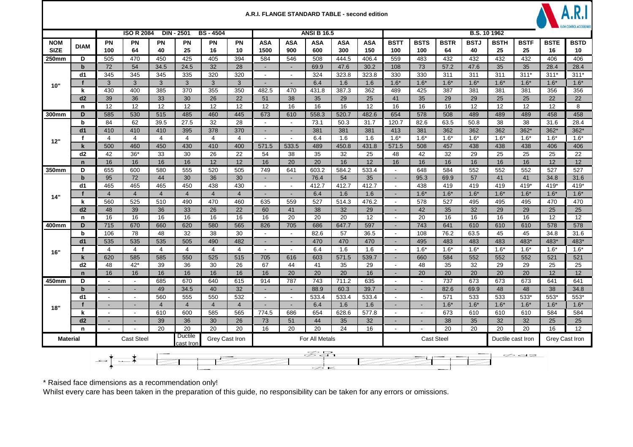## A.R.I. FLANGE STANDARD TABLE - second edition



|                           |             | <b>ISO R 2084</b><br><b>DIN - 2501</b><br><b>BS-4504</b><br><b>ANSI B 16.5</b> |                                                      |                 |                |                |                |                             |                          |                   |                   | B.S. 10 1962      |                          |                          |                   |                   |                                     |                   |                   |                   |
|---------------------------|-------------|--------------------------------------------------------------------------------|------------------------------------------------------|-----------------|----------------|----------------|----------------|-----------------------------|--------------------------|-------------------|-------------------|-------------------|--------------------------|--------------------------|-------------------|-------------------|-------------------------------------|-------------------|-------------------|-------------------|
| <b>NOM</b><br><b>SIZE</b> | <b>DIAM</b> | PN<br>100                                                                      | <b>PN</b><br>64                                      | <b>PN</b><br>40 | PN<br>25       | PN<br>16       | PN<br>10       | <b>ASA</b><br>1500          | ASA<br>900               | <b>ASA</b><br>600 | <b>ASA</b><br>300 | <b>ASA</b><br>150 | <b>BSTT</b><br>100       | <b>BSTS</b><br>100       | <b>BSTR</b><br>64 | <b>BSTJ</b><br>40 | <b>BSTH</b><br>25                   | <b>BSTF</b><br>25 | <b>BSTE</b><br>16 | <b>BSTD</b><br>10 |
| 250mm                     | D           | 505                                                                            | 470                                                  | 450             | 425            | 405            | 394            | 584                         | 546                      | 508               | 444.5             | 406.4             | 559                      | 483                      | 432               | 432               | 432                                 | 432               | 406               | 406               |
|                           | $\mathbf b$ | 72                                                                             | 54                                                   | 34.5            | 24.5           | 32             | 28             |                             | $\blacksquare$           | 69.9              | 47.6              | 30.2              | 108                      | 73                       | 57.2              | 47.6              | 35                                  | 35                | 28.4              | 28.4              |
|                           | d1          | 345                                                                            | 345                                                  | 345             | 335            | 320            | 320            | $\sim$                      | $\sim$                   | 324               | 323.8             | 323.8             | 330                      | 330                      | 311               | 311               | 311                                 | $311*$            | $311*$            | $311*$            |
| 10"                       | $\mathbf f$ | $\mathbf{3}$                                                                   | 3 <sup>1</sup>                                       | 3               | $\mathbf{3}$   | $\mathbf{3}$   | 3              |                             | $\sim$                   | 6.4               | 1.6               | 1.6               | $1.6*$                   | $1.6*$                   | $1.6*$            | $1.6*$            | $1.6*$                              | $1.6*$            | $1.6*$            | $1.6*$            |
|                           | k           | 430                                                                            | 400                                                  | 385             | 370            | 355            | 350            | 482.5                       | 470                      | 431.8             | 387.3             | 362               | 489                      | 425                      | 387               | 381               | 381                                 | 381               | 356               | 356               |
|                           | d2          | 39                                                                             | 36                                                   | 33              | 30             | 26             | 22             | 51                          | 38                       | 35                | 29                | 25                | 41                       | 35                       | 29                | 29                | 25                                  | 25                | 22                | 22                |
|                           | n           | 12                                                                             | 12                                                   | 12              | 12             | 12             | 12             | 12                          | 16                       | 16                | 16                | 12                | 16                       | 16                       | 16                | 12                | 12                                  | 12                | 12                | 8                 |
| 300mm                     | D           | 585                                                                            | 530                                                  | 515             | 485            | 460            | 445            | 673                         | 610                      | 558.3             | 520.7             | 482.6             | 654                      | 578                      | 508               | 489               | 489                                 | 489               | 458               | 458               |
|                           | b           | 84                                                                             | 62                                                   | 39.5            | 27.5           | 32             | 28             |                             | $\sim$                   | 73.1              | 50.3              | 31.7              | 120.7                    | 82.6                     | 63.5              | 50.8              | 38                                  | 38                | 31.6              | 28.4              |
|                           | d1          | 410                                                                            | 410                                                  | 410             | 395            | 378            | 370            | $\overline{\phantom{a}}$    | $\overline{\phantom{a}}$ | 381               | 381               | 381               | 413                      | 381                      | 362               | 362               | 362                                 | $362*$            | $362*$            | $362*$            |
| 12"                       | f           | $\overline{4}$                                                                 | 4                                                    | $\overline{4}$  | $\overline{4}$ | $\overline{4}$ | $\overline{4}$ | $\overline{\phantom{a}}$    | $\sim$                   | 6.4               | 1.6               | 1.6               | $1.6*$                   | $1.6*$                   | $1.6*$            | $1.6*$            | $1.6*$                              | $1.6*$            | $1.6*$            | $1.6*$            |
|                           | $\mathbf k$ | 500                                                                            | 460                                                  | 450             | 430            | 410            | 400            | 571.5                       | 533.5                    | 489               | 450.8             | 431.8             | 571.5                    | 508                      | 457               | 438               | 438                                 | 438               | 406               | 406               |
|                           | d2          | 42                                                                             | $36*$                                                | 33              | 30             | 26             | 22             | 54                          | 38                       | 35                | 32                | 25                | 48                       | 42                       | 32                | 29                | 25                                  | 25                | 25                | 22                |
|                           | $\mathbf n$ | 16                                                                             | 16                                                   | 16              | 16             | 12             | 12             | 16                          | 20                       | 20                | 16                | 12                | 16                       | 16                       | 16                | 16                | 16                                  | 16                | 12                | 12                |
| 350mm                     | D           | 655                                                                            | 600                                                  | 580             | 555            | 520            | 505            | 749                         | 641                      | 603.2             | 584.2             | 533.4             | $\overline{\phantom{a}}$ | 648                      | 584               | 552               | 552                                 | 552               | 527               | 527               |
|                           | $\mathbf b$ | 95                                                                             | 72                                                   | 44              | 30             | 36             | 30             | $\mathbf{r}$                | $\omega$                 | 76.4              | 54                | 35                | $\omega$                 | 95.3                     | 69.9              | 57                | 41                                  | 41                | 34.8              | 31.6              |
|                           | d1          | 465                                                                            | 465                                                  | 465             | 450            | 438            | 430            | $\blacksquare$              | $\blacksquare$           | 412.7             | 412.7             | 412.7             | $\sim$                   | 438                      | 419               | 419               | 419                                 | 419*              | $419*$            | $419*$            |
| 14"                       | f           | $\overline{4}$                                                                 | $\overline{4}$                                       | $\overline{4}$  | $\overline{4}$ | $\overline{4}$ | $\overline{4}$ | $\mathcal{L}_{\mathcal{A}}$ | $\blacksquare$           | 6.4               | 1.6               | 1.6               | $\blacksquare$           | $1.6*$                   | $1.6*$            | $1.6*$            | $1.6*$                              | $1.6*$            | $1.6*$            | $1.6*$            |
|                           | k           | 560                                                                            | 525                                                  | 510             | 490            | 470            | 460            | 635                         | 559                      | 527               | 514.3             | 476.2             | $\sim$                   | 578                      | 527               | 495               | 495                                 | 495               | 470               | 470               |
|                           | d2          | 48                                                                             | 39                                                   | 36              | 33             | 26             | 22             | 60                          | 41                       | 38                | 32                | 29                | $\sim$                   | 42                       | 35                | 32                | 29                                  | 29                | 25                | 25                |
|                           | $\mathbf n$ | 16                                                                             | 16                                                   | 16              | 16             | 16             | 16             | 16                          | 20                       | 20                | 20                | 12                | $\sim$                   | 20                       | 16                | 16                | 16                                  | 16                | 12                | 12                |
| 400mm                     | D           | 715                                                                            | 670                                                  | 660             | 620            | 580            | 565            | 826                         | 705                      | 686               | 647.7             | 597               |                          | 743                      | 641               | 610               | 610                                 | 610               | 578               | 578               |
|                           | $\mathbf b$ | 106                                                                            | 78                                                   | 48              | 32             | 38             | 30             | $\overline{\phantom{a}}$    | $\blacksquare$           | 82.6              | 57                | 36.5              | $\blacksquare$           | 108                      | 76.2              | 63.5              | 45                                  | 45                | 34.8              | 31.6              |
|                           | d1          | 535                                                                            | 535                                                  | 535             | 505            | 490            | 482            |                             | $\overline{a}$           | 470               | 470               | 470               |                          | 495                      | 483               | 483               | 483                                 | 483*              | 483*              | 483*              |
| 16"                       | f           | $\overline{4}$                                                                 | 4                                                    | $\overline{4}$  | 4              | $\overline{4}$ | 4              | $\overline{\phantom{a}}$    | $\sim$                   | 6.4               | 1.6               | 1.6               | $\sim$                   | $1.6*$                   | $1.6*$            | $1.6*$            | $1.6*$                              | $1.6*$            | $1.6*$            | $1.6*$            |
|                           | $\mathbf k$ | 620                                                                            | 585                                                  | 585             | 550            | 525            | 515            | 705                         | 616                      | 603               | 571.5             | 539.7             |                          | 660                      | 584               | 552               | 552                                 | 552               | 521               | 521               |
|                           | d2          | 48                                                                             | $42*$                                                | 39              | 36             | 30             | 26             | 67                          | 44                       | 41                | 35                | 29                | $\blacksquare$           | 48                       | 35                | 32                | 29                                  | 29                | 25                | 25                |
|                           | $\mathbf n$ | 16                                                                             | 16                                                   | 16              | 16             | 16             | 16             | 16                          | 20                       | 20                | 20                | 16                | $\overline{\phantom{a}}$ | 20                       | 20                | 20                | 20                                  | 20                | 12                | 12                |
| 450mm                     | D           | $\overline{\phantom{a}}$                                                       | $\overline{\phantom{a}}$                             | 685             | 670            | 640            | 615            | 914                         | 787                      | 743               | 711.2             | 635               | $\overline{\phantom{a}}$ | $\overline{\phantom{a}}$ | 737               | 673               | 673                                 | 673               | 641               | 641               |
|                           | $\mathbf b$ |                                                                                |                                                      | 49              | 34.5           | 40             | 32             |                             | $\sim$                   | 88.9              | 60.3              | 39.7              | $\sim$                   |                          | 82.6              | 69.9              | 48                                  | 48                | 38                | 34.8              |
|                           | d1          | $\blacksquare$                                                                 | $\sim$                                               | 560             | 555            | 550            | 532            | $\sim$                      | $\sim$                   | 533.4             | 533.4             | 533.4             | $\blacksquare$           | $\sim$                   | 571               | 533               | 533                                 | 533*              | 553*              | 553*              |
| 18"                       |             |                                                                                | $\sim$                                               | $\overline{4}$  | $\overline{4}$ | $\overline{4}$ | $\overline{4}$ | $\sim$                      | $\sim$                   | 6.4               | 1.6               | 1.6               |                          | $\blacksquare$           | $1.6*$            | $1.6*$            | $1.6*$                              | $1.6*$            | $1.6*$            | $1.6*$            |
|                           | k           |                                                                                | $\blacksquare$                                       | 610             | 600            | 585            | 565            | 774.5                       | 686                      | 654               | 628.6             | 577.8             | $\overline{\phantom{a}}$ | $\overline{\phantom{a}}$ | 673               | 610               | 610                                 | 610               | 584               | 584               |
|                           | d2          | $\sim$                                                                         | $\sim$                                               | 39              | 36             | 30             | 26             | 73                          | 51                       | 44                | 35                | 32                | $\blacksquare$           | $\blacksquare$           | 38                | 35                | 32                                  | 32                | 25                | 25                |
|                           | n           | $\overline{\phantom{a}}$                                                       |                                                      | 20              | 20             | 20             | 20             | 16                          | 20                       | 20                | 24                | 16                | $\sim$                   | $\sim$                   | 20                | 20                | 20                                  | 20                | 16                | 12                |
| <b>Material</b>           |             |                                                                                | Ductile<br>Cast Steel<br>Grey Cast Iron<br>cast Iron |                 |                |                |                |                             |                          | For All Metals    |                   |                   |                          |                          | <b>Cast Steel</b> |                   | Grey Cast Iron<br>Ductile cast Iron |                   |                   |                   |
|                           |             | Z₽,<br>$\varnothing$ a $\varnothing$<br>$\equiv$ $\frac{1}{2}$<br>Þ            |                                                      |                 |                |                |                |                             |                          |                   |                   |                   |                          |                          |                   |                   |                                     |                   |                   |                   |

\* Raised face dimensions as a recommendation only!<br>Whilst every care has been taken in the preparation of this guide, no responsibility can be taken for any errors or omissions.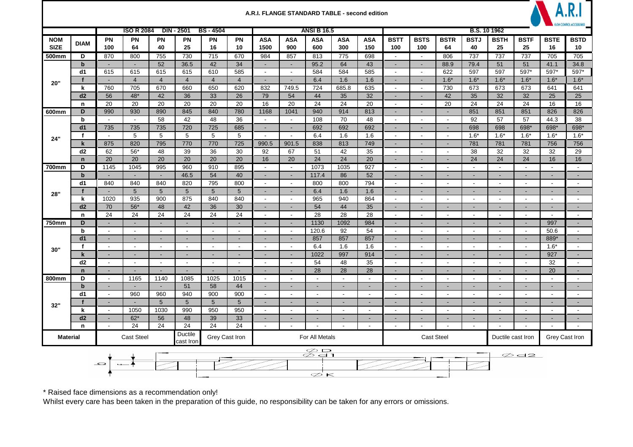|                                |                     |                                     |                                            |                                  |                                    |                                    |                                    | A.R.I. FLANGE STANDARD TABLE - second edition |                                                                                |                          |                          |                          |                          |                                    |                          |                          |                                     |                          |                          | <b>ILOW CONTROL ACCESSORIES</b> |  |
|--------------------------------|---------------------|-------------------------------------|--------------------------------------------|----------------------------------|------------------------------------|------------------------------------|------------------------------------|-----------------------------------------------|--------------------------------------------------------------------------------|--------------------------|--------------------------|--------------------------|--------------------------|------------------------------------|--------------------------|--------------------------|-------------------------------------|--------------------------|--------------------------|---------------------------------|--|
|                                |                     |                                     | <b>ISO R 2084</b>                          |                                  | <b>DIN - 2501</b>                  | <b>BS-4504</b>                     |                                    |                                               |                                                                                | <b>ANSI B 16.5</b>       |                          |                          |                          |                                    |                          | <b>B.S. 10 1962</b>      |                                     |                          |                          |                                 |  |
| <b>NOM</b><br><b>SIZE</b>      | <b>DIAM</b>         | <b>PN</b><br>100                    | <b>PN</b><br>64                            | PN<br>40                         | <b>PN</b><br>25                    | <b>PN</b><br>16                    | <b>PN</b><br>10                    | <b>ASA</b><br>1500                            | <b>ASA</b><br>900                                                              | <b>ASA</b><br>600        | <b>ASA</b><br>300        | <b>ASA</b><br>150        | <b>BSTT</b><br>100       | <b>BSTS</b><br>100                 | <b>BSTR</b><br>64        | <b>BSTJ</b><br>40        | <b>BSTH</b><br>25                   | <b>BSTF</b><br>25        | <b>BSTE</b><br>16        | <b>BSTD</b><br>10               |  |
| 500mm                          | D                   | 870                                 | 800                                        | 755                              | 730                                | 715                                | 670                                | 984                                           | 857                                                                            | 813                      | 775                      | 698                      | $\overline{\phantom{a}}$ | $\overline{\phantom{a}}$           | 806                      | 737                      | 737                                 | 737                      | 705                      | 705                             |  |
|                                | $\mathbf b$         | $\blacksquare$                      | $\sim$                                     | 52                               | 36.5                               | 42                                 | 34                                 | $\blacksquare$                                | $\blacksquare$                                                                 | 95.2                     | 64                       | 43                       | $\sim$                   | $\blacksquare$                     | 88.9                     | 79.4                     | 51                                  | 51                       | 41.1                     | 34.8                            |  |
|                                | d1                  | 615                                 | 615                                        | 615                              | 615                                | 610                                | 585                                | $\blacksquare$                                | $\blacksquare$                                                                 | 584                      | 584                      | 585                      | $\blacksquare$           | $\blacksquare$                     | 622                      | 597                      | 597                                 | 597*                     | 597*                     | 597*                            |  |
| 20"                            | f<br>k              | $\overline{\phantom{a}}$<br>760     | $\overline{4}$<br>705                      | $\overline{4}$<br>670            | $\overline{4}$<br>660              | $\overline{4}$<br>650              | $\overline{4}$<br>620              | $\blacksquare$<br>832                         | $\sim$<br>749.5                                                                | 6.4<br>724               | 1.6<br>685.8             | 1.6<br>635               | $\sim$<br>$\sim$         | $\sim$<br>$\sim$                   | $1.6*$<br>730            | $1.6*$<br>673            | $1.6*$<br>673                       | $1.6*$<br>673            | $1.6*$<br>641            | $1.6*$<br>641                   |  |
|                                | d2                  | 56                                  | $48*$                                      | 42                               | 36                                 | 33                                 | 26                                 | 79                                            | 54                                                                             | 44                       | 35                       | 32                       | $\sim$                   | $\overline{\phantom{a}}$           | 42                       | 35                       | 32                                  | 32                       | 25                       | 25                              |  |
|                                | n                   | 20                                  | 20                                         | 20                               | 20                                 | 20                                 | 20                                 | 16                                            | 20                                                                             | 24                       | 24                       | 20                       | $\blacksquare$           | $\sim$                             | 20                       | 24                       | 24                                  | 24                       | 16                       | 16                              |  |
| 600mm                          | D                   | 990                                 | 930                                        | 890                              | 845                                | 840                                | 780                                | 1168                                          | 1041                                                                           | 940                      | 914                      | 813                      | $\sim$                   | $\overline{\phantom{a}}$           | $\sim$                   | 851                      | 851                                 | 851                      | 826                      | 826                             |  |
|                                | b                   | $\sim$                              | $\sim$                                     | 58                               | 42                                 | 48                                 | 36                                 | $\blacksquare$                                | $\blacksquare$                                                                 | 108                      | 70                       | 48                       | $\blacksquare$           | $\sim$                             | $\sim$                   | 92                       | 57                                  | 57                       | 44.3                     | 38                              |  |
| 24"                            | d <sub>1</sub>      | 735                                 | 735                                        | 735                              | 720                                | 725                                | 685                                | $\blacksquare$                                | $\blacksquare$                                                                 | 692                      | 692                      | 692                      | $\overline{\phantom{a}}$ | $\blacksquare$                     | $\sim$                   | 698                      | 698                                 | 698*                     | 698*                     | 698*                            |  |
|                                | $\ddot{\mathbf{f}}$ | $\blacksquare$                      | 5                                          | 5                                | 5                                  | 5                                  | 5                                  |                                               |                                                                                | 6.4                      | 1.6                      | 1.6                      | $\sim$                   | $\blacksquare$                     | $\blacksquare$           | $1.6*$                   | $1.6*$                              | $1.6*$                   | $1.6*$                   | $1.6*$                          |  |
|                                | k                   | 875                                 | 820                                        | 795                              | 770                                | 770                                | 725                                | 990.5                                         | 901.5                                                                          | 838                      | 813                      | 749                      | $\sim$                   | $\sim$                             | $\blacksquare$           | 781                      | 781                                 | 781                      | 756                      | 756                             |  |
|                                | d <sub>2</sub>      | 62<br>20                            | $56*$<br>20                                | 48<br>20                         | 39<br>20                           | 36<br>20                           | 30<br>20                           | 92<br>16                                      | 67<br>20                                                                       | 51<br>24                 | 42<br>24                 | 35<br>20                 | $\sim$<br>$\sim$         | $\overline{\phantom{a}}$           | $\sim$                   | 38<br>24                 | 32<br>24                            | 32<br>24                 | 32<br>16                 | 29<br>16                        |  |
| 700mm                          | $\mathbf n$<br>D    | 1145                                | 1045                                       | 995                              | 960                                | 910                                | 895                                | $\overline{\phantom{a}}$                      | $\overline{\phantom{a}}$                                                       | 1073                     | 1035                     | 927                      | $\overline{\phantom{a}}$ | $\sim$<br>$\overline{\phantom{a}}$ | $\sim$<br>$\sim$         | $\blacksquare$           | $\sim$                              | $\overline{\phantom{a}}$ | $\sim$                   | $\overline{\phantom{a}}$        |  |
|                                | $\mathbf b$         | $\sim$                              | $\sim$                                     | $\sim$                           | 46.5                               | 54                                 | 40                                 | $\sim$                                        | $\sim$                                                                         | 117.4                    | 86                       | 52                       | $\sim$                   | $\overline{\phantom{a}}$           | $\sim$                   | $\sim$                   | $\sim$                              | $\sim$                   | $\sim$                   | $\sim$                          |  |
|                                | d1                  | 840                                 | 840                                        | 840                              | 820                                | 795                                | 800                                | $\overline{\phantom{a}}$                      | $\sim$                                                                         | 800                      | 800                      | 794                      | $\sim$                   | $\overline{\phantom{a}}$           | $\sim$                   | $\overline{\phantom{a}}$ | $\sim$                              | $\overline{\phantom{a}}$ | $\sim$                   | $\sim$                          |  |
| 28"                            | $\mathbf f$         | $\blacksquare$                      | $5\phantom{.0}$                            | $5\phantom{.0}$                  | $5\phantom{1}$                     | $5\phantom{.0}$                    | 5 <sup>5</sup>                     | $\blacksquare$                                | $\blacksquare$                                                                 | 6.4                      | 1.6                      | 1.6                      | $\blacksquare$           | $\blacksquare$                     | $\blacksquare$           | $\blacksquare$           | $\blacksquare$                      | $\sim$                   | $\sim$                   | $\blacksquare$                  |  |
|                                | k                   | 1020                                | 935                                        | 900                              | 875                                | 840                                | 840                                | $\blacksquare$                                | $\blacksquare$                                                                 | 965                      | 940                      | 864                      | $\blacksquare$           | $\blacksquare$                     | $\blacksquare$           | $\blacksquare$           | $\blacksquare$                      | $\blacksquare$           | $\blacksquare$           |                                 |  |
|                                | d2                  | 70                                  | $56*$                                      | 48                               | 42                                 | 36                                 | 30                                 | $\blacksquare$                                | ٠                                                                              | 54                       | 44                       | 35                       | $\blacksquare$           | $\sim$                             | ٠                        | $\blacksquare$           | $\sim$                              | $\sim$                   | $\sim$                   |                                 |  |
|                                | n                   | 24                                  | 24                                         | 24                               | 24                                 | 24                                 | 24                                 | $\blacksquare$                                | $\sim$                                                                         | 28                       | 28                       | 28                       | $\sim$                   | $\sim$                             | $\sim$                   | $\sim$                   | $\sim$                              | $\sim$                   | $\sim$                   | $\overline{\phantom{a}}$        |  |
| 750mm                          | D                   | $\sim$                              | $\sim$                                     | $\sim$                           | $\sim$                             | $\sim$                             | $\overline{\phantom{a}}$           | $\blacksquare$                                | $\blacksquare$                                                                 | 1130                     | 1092                     | 984                      | $\sim$                   | $\overline{\phantom{a}}$           | $\sim$                   | $\sim$                   | $\sim$                              | $\sim$                   | 997                      |                                 |  |
|                                | $\mathbf b$<br>d1   | $\sim$<br>$\sim$                    | $\sim$                                     | $\blacksquare$<br>$\blacksquare$ | $\sim$                             | $\sim$                             | $\sim$                             | $\blacksquare$                                | $\sim$<br>$\sim$                                                               | 120.6                    | 92                       | 54<br>857                | $\sim$<br>$\sim$         | $\sim$<br>$\sim$                   | $\sim$                   | $\sim$<br>$\blacksquare$ | $\blacksquare$<br>$\sim$            | $\sim$<br>$\sim$         | 50.6                     | $\sim$                          |  |
|                                | $\mathbf f$         | $\sim$                              | $\overline{\phantom{a}}$<br>$\blacksquare$ | $\sim$                           | $\overline{\phantom{a}}$<br>$\sim$ | $\overline{\phantom{a}}$<br>$\sim$ | $\overline{\phantom{a}}$<br>$\sim$ | $\overline{\phantom{a}}$<br>$\sim$            | $\sim$                                                                         | 857<br>6.4               | 857<br>1.6               | 1.6                      | $\blacksquare$           | $\sim$                             | ٠<br>$\sim$              | $\sim$                   | $\blacksquare$                      | $\sim$                   | 889*<br>$1.6*$           | $\sim$                          |  |
| 30"                            | $\mathbf k$         | $\blacksquare$                      | $\sim$                                     | $\mathbf{r}$                     | $\sim$                             | $\sim$                             | $\sim$                             | $\blacksquare$                                | $\blacksquare$                                                                 | 1022                     | 997                      | 914                      | $\sim$                   | $\sim$                             | $\blacksquare$           | $\mathbf{r}$             | $\blacksquare$                      | $\sim$                   | 927                      | $\blacksquare$                  |  |
|                                | d2                  | $\sim$                              | $\overline{\phantom{a}}$                   | $\overline{\phantom{a}}$         | $\sim$                             | $\overline{\phantom{a}}$           | $\blacksquare$                     | $\blacksquare$                                | $\blacksquare$                                                                 | 54                       | 48                       | 35                       | $\overline{\phantom{a}}$ | $\overline{\phantom{a}}$           | $\sim$                   | $\blacksquare$           | $\overline{\phantom{a}}$            | $\sim$                   | 32                       | $\overline{\phantom{a}}$        |  |
|                                | $\mathbf n$         | $\blacksquare$                      | $\blacksquare$                             | $\overline{a}$                   | $\sim$                             | $\sim$                             | $\sim$                             | $\blacksquare$                                | $\overline{\phantom{a}}$                                                       | 28                       | 28                       | 28                       | $\sim$                   | $\sim$                             | $\sim$                   | $\sim$                   | $\sim$                              | $\sim$                   | 20                       | $\sim$                          |  |
| 800mm                          | D                   | $\sim$                              | 1165                                       | 1140                             | 1085                               | 1025                               | 1015                               | $\overline{\phantom{a}}$                      | $\blacksquare$                                                                 | $\overline{\phantom{a}}$ | $\sim$                   | $\overline{\phantom{a}}$ | $\sim$                   | $\overline{\phantom{a}}$           | $\overline{\phantom{a}}$ | $\overline{\phantom{a}}$ | $\sim$                              | $\overline{\phantom{a}}$ | $\sim$                   | $\sim$                          |  |
|                                | $\mathbf b$         | $\sim$                              | $\sim$                                     | $\blacksquare$                   | 51                                 | 58                                 | 44                                 | $\blacksquare$                                | $\blacksquare$                                                                 | $\blacksquare$           | $\blacksquare$           | $\blacksquare$           | $\blacksquare$           | $\sim$                             | $\sim$                   | $\sim$                   | $\overline{\phantom{a}}$            | $\sim$                   | $\blacksquare$           | $\overline{\phantom{a}}$        |  |
|                                | d1                  | $\sim$                              | 960                                        | 960                              | 940                                | 900                                | 900                                | $\overline{\phantom{a}}$                      | $\overline{\phantom{a}}$                                                       | $\sim$                   | $\sim$                   | $\overline{\phantom{a}}$ | $\sim$                   | $\overline{\phantom{a}}$           | $\sim$                   | $\overline{\phantom{a}}$ | $\overline{\phantom{a}}$            | $\overline{\phantom{a}}$ | $\sim$                   | $\overline{\phantom{a}}$        |  |
| 32"                            | f                   | $\blacksquare$                      | $\sim$                                     | $5\phantom{.0}$                  | $5\phantom{.0}$                    | $5\phantom{.0}$                    | 5 <sup>5</sup>                     | $\blacksquare$                                | $\blacksquare$                                                                 | $\sim$                   | $\sim$                   | $\sim$                   | $\sim$                   | $\overline{\phantom{a}}$           | $\sim$                   | $\sim$                   | $\sim$                              | $\sim$                   | $\sim$                   | $\overline{\phantom{a}}$        |  |
|                                | k                   | $\overline{\phantom{a}}$            | 1050                                       | 1030                             | 990                                | 950                                | 950                                | $\sim$                                        | $\blacksquare$                                                                 | $\sim$                   | $\overline{\phantom{a}}$ | $\overline{\phantom{a}}$ | $\sim$                   | $\overline{\phantom{a}}$           | $\sim$                   | $\overline{\phantom{a}}$ | $\sim$                              | $\sim$                   | $\sim$                   | $\overline{\phantom{a}}$        |  |
|                                | d2                  | $\blacksquare$                      | $62*$<br>24                                | 56<br>24                         | 48<br>24                           | 39<br>24                           | 33<br>24                           | $\blacksquare$                                | $\blacksquare$                                                                 | $\overline{a}$           | $\blacksquare$<br>$\sim$ | $\sim$                   | $\sim$<br>$\sim$         | $\blacksquare$<br>$\sim$           | $\blacksquare$<br>$\sim$ | $\blacksquare$<br>$\sim$ | $\blacksquare$<br>$\sim$            | $\blacksquare$           | $\sim$<br>$\overline{a}$ | $\sim$<br>$\sim$                |  |
| $\mathbf n$<br><b>Material</b> |                     | $\blacksquare$<br><b>Cast Steel</b> |                                            |                                  | Ductile<br>Grey Cast Iron          |                                    |                                    |                                               | $\blacksquare$<br>$\blacksquare$<br>$\overline{\phantom{a}}$<br>For All Metals |                          |                          |                          |                          |                                    | <b>Cast Steel</b>        |                          | $\blacksquare$<br>Ductile cast Iron |                          |                          | Grey Cast Iron                  |  |
|                                |                     |                                     |                                            |                                  | cast Iron                          |                                    |                                    |                                               |                                                                                | $\varphi$ D<br>∅d1       |                          |                          |                          |                                    |                          |                          |                                     | $\varnothing$ d2         |                          |                                 |  |
|                                |                     | $\overline{\phantom{0}}$            |                                            |                                  |                                    |                                    |                                    |                                               |                                                                                |                          |                          |                          |                          |                                    |                          |                          |                                     |                          |                          |                                 |  |
|                                |                     |                                     |                                            |                                  |                                    |                                    |                                    |                                               |                                                                                | D<br>$\lt$               |                          |                          |                          |                                    |                          |                          |                                     |                          |                          |                                 |  |

\* Raised face dimensions as a recommendation only!<br>Whilst every care has been taken in the preparation of this guide, no responsibility can be taken for any errors or omissions.